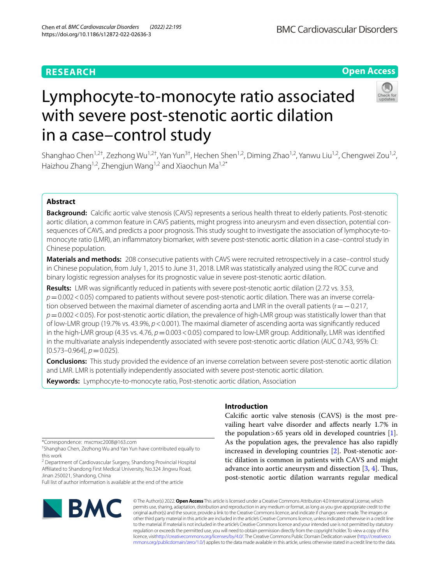# **RESEARCH**

# **Open Access**

# in a case–control study Shanghao Chen<sup>1,2†</sup>, Zezhong Wu<sup>1,2†</sup>, Yan Yun<sup>3†</sup>, Hechen Shen<sup>1,2</sup>, Diming Zhao<sup>1,2</sup>, Yanwu Liu<sup>1,2</sup>, Chengwei Zou<sup>1,2</sup>, Haizhou Zhang<sup>1,2</sup>, Zhengjun Wang<sup>1,2</sup> and Xiaochun Ma<sup>1,2\*</sup>

Lymphocyte-to-monocyte ratio associated

with severe post-stenotic aortic dilation

# **Abstract**

**Background:** Calcifc aortic valve stenosis (CAVS) represents a serious health threat to elderly patients. Post-stenotic aortic dilation, a common feature in CAVS patients, might progress into aneurysm and even dissection, potential consequences of CAVS, and predicts a poor prognosis. This study sought to investigate the association of lymphocyte-tomonocyte ratio (LMR), an infammatory biomarker, with severe post-stenotic aortic dilation in a case–control study in Chinese population.

**Materials and methods:** 208 consecutive patients with CAVS were recruited retrospectively in a case–control study in Chinese population, from July 1, 2015 to June 31, 2018. LMR was statistically analyzed using the ROC curve and binary logistic regression analyses for its prognostic value in severe post-stenotic aortic dilation.

**Results:** LMR was signifcantly reduced in patients with severe post-stenotic aortic dilation (2.72 vs. 3.53, *p*=0.002<0.05) compared to patients without severe post-stenotic aortic dilation. There was an inverse correlation observed between the maximal diameter of ascending aorta and LMR in the overall patients (r=−0.217, *p*=0.002<0.05). For post-stenotic aortic dilation, the prevalence of high-LMR group was statistically lower than that of low-LMR group (19.7% vs. 43.9%, *p*<0.001). The maximal diameter of ascending aorta was signifcantly reduced in the high-LMR group (4.35 vs.  $4.76$ ,  $p=0.003<0.05$ ) compared to low-LMR group. Additionally, LMR was identified in the multivariate analysis independently associated with severe post-stenotic aortic dilation (AUC 0.743, 95% CI:  $[0.573 - 0.964]$ ,  $p = 0.025$ ).

**Conclusions:** This study provided the evidence of an inverse correlation between severe post-stenotic aortic dilation and LMR. LMR is potentially independently associated with severe post-stenotic aortic dilation.

**Keywords:** Lymphocyte-to-monocyte ratio, Post-stenotic aortic dilation, Association

\*Correspondence: mxcmxc2008@163.com

† Shanghao Chen, Zezhong Wu and Yan Yun have contributed equally to this work

<sup>2</sup> Department of Cardiovascular Surgery, Shandong Provincial Hospital Afliated to Shandong First Medical University, No.324 Jingwu Road, Jinan 250021, Shandong, China

Full list of author information is available at the end of the article



# **Introduction**

Calcifc aortic valve stenosis (CAVS) is the most prevailing heart valve disorder and afects nearly 1.7% in the population > 65 years old in developed countries  $[1]$  $[1]$ . As the population ages, the prevalence has also rapidly increased in developing countries [\[2](#page-7-1)]. Post-stenotic aortic dilation is common in patients with CAVS and might advance into aortic aneurysm and dissection  $[3, 4]$  $[3, 4]$  $[3, 4]$  $[3, 4]$ . Thus, post-stenotic aortic dilation warrants regular medical

© The Author(s) 2022. **Open Access** This article is licensed under a Creative Commons Attribution 4.0 International License, which permits use, sharing, adaptation, distribution and reproduction in any medium or format, as long as you give appropriate credit to the original author(s) and the source, provide a link to the Creative Commons licence, and indicate if changes were made. The images or other third party material in this article are included in the article's Creative Commons licence, unless indicated otherwise in a credit line to the material. If material is not included in the article's Creative Commons licence and your intended use is not permitted by statutory regulation or exceeds the permitted use, you will need to obtain permission directly from the copyright holder. To view a copy of this licence, visi[thttp://creativecommons.org/licenses/by/4.0/](http://creativecommons.org/licenses/by/4.0/). The Creative Commons Public Domain Dedication waiver [\(http://creativeco](http://creativecommons.org/publicdomain/zero/1.0/) [mmons.org/publicdomain/zero/1.0/](http://creativecommons.org/publicdomain/zero/1.0/)) applies to the data made available in this article, unless otherwise stated in a credit line to the data.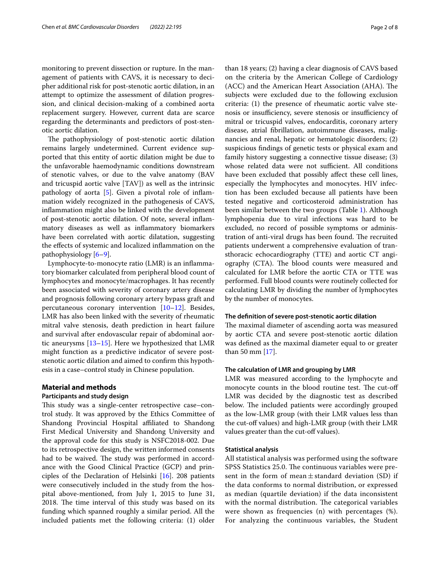monitoring to prevent dissection or rupture. In the management of patients with CAVS, it is necessary to decipher additional risk for post-stenotic aortic dilation, in an attempt to optimize the assessment of dilation progression, and clinical decision-making of a combined aorta replacement surgery. However, current data are scarce regarding the determinants and predictors of post-stenotic aortic dilation.

The pathophysiology of post-stenotic aortic dilation remains largely undetermined. Current evidence supported that this entity of aortic dilation might be due to the unfavorable haemodynamic conditions downstream of stenotic valves, or due to the valve anatomy (BAV and tricuspid aortic valve [TAV]) as well as the intrinsic pathology of aorta [\[5](#page-7-4)]. Given a pivotal role of infammation widely recognized in the pathogenesis of CAVS, infammation might also be linked with the development of post-stenotic aortic dilation. Of note, several infammatory diseases as well as infammatory biomarkers have been correlated with aortic dilatation, suggesting the effects of systemic and localized inflammation on the pathophysiology [\[6](#page-7-5)[–9](#page-7-6)].

Lymphocyte-to-monocyte ratio (LMR) is an infammatory biomarker calculated from peripheral blood count of lymphocytes and monocyte/macrophages. It has recently been associated with severity of coronary artery disease and prognosis following coronary artery bypass graft and percutaneous coronary intervention [\[10](#page-7-7)[–12](#page-7-8)]. Besides, LMR has also been linked with the severity of rheumatic mitral valve stenosis, death prediction in heart failure and survival after endovascular repair of abdominal aortic aneurysms [[13–](#page-7-9)[15](#page-7-10)]. Here we hypothesized that LMR might function as a predictive indicator of severe poststenotic aortic dilation and aimed to confrm this hypothesis in a case–control study in Chinese population.

#### **Material and methods Participants and study design**

This study was a single-center retrospective case-control study. It was approved by the Ethics Committee of Shandong Provincial Hospital affiliated to Shandong First Medical University and Shandong University and the approval code for this study is NSFC2018-002. Due to its retrospective design, the written informed consents had to be waived. The study was performed in accordance with the Good Clinical Practice (GCP) and principles of the Declaration of Helsinki [[16](#page-7-11)]. 208 patients were consecutively included in the study from the hospital above-mentioned, from July 1, 2015 to June 31, 2018. The time interval of this study was based on its funding which spanned roughly a similar period. All the included patients met the following criteria: (1) older than 18 years; (2) having a clear diagnosis of CAVS based on the criteria by the American College of Cardiology (ACC) and the American Heart Association (AHA). The subjects were excluded due to the following exclusion criteria: (1) the presence of rheumatic aortic valve stenosis or insufficiency, severe stenosis or insufficiency of mitral or tricuspid valves, endocarditis, coronary artery disease, atrial fbrillation, autoimmune diseases, malignancies and renal, hepatic or hematologic disorders; (2) suspicious fndings of genetic tests or physical exam and family history suggesting a connective tissue disease; (3) whose related data were not sufficient. All conditions have been excluded that possibly afect these cell lines, especially the lymphocytes and monocytes. HIV infection has been excluded because all patients have been tested negative and corticosteroid administration has been similar between the two groups (Table [1\)](#page-2-0). Although lymphopenia due to viral infections was hard to be excluded, no record of possible symptoms or administration of anti-viral drugs has been found. The recruited patients underwent a comprehensive evaluation of transthoracic echocardiography (TTE) and aortic CT angiography (CTA). The blood counts were measured and calculated for LMR before the aortic CTA or TTE was performed. Full blood counts were routinely collected for calculating LMR by dividing the number of lymphocytes by the number of monocytes.

#### **The defnition of severe post‑stenotic aortic dilation**

The maximal diameter of ascending aorta was measured by aortic CTA and severe post-stenotic aortic dilation was defned as the maximal diameter equal to or greater than 50 mm [[17](#page-7-12)].

#### **The calculation of LMR and grouping by LMR**

LMR was measured according to the lymphocyte and monocyte counts in the blood routine test. The cut-off LMR was decided by the diagnostic test as described below. The included patients were accordingly grouped as the low-LMR group (with their LMR values less than the cut-off values) and high-LMR group (with their LMR values greater than the cut-off values).

#### **Statistical analysis**

All statistical analysis was performed using the software SPSS Statistics 25.0. The continuous variables were present in the form of mean $\pm$ standard deviation (SD) if the data conforms to normal distribution, or expressed as median (quartile deviation) if the data inconsistent with the normal distribution. The categorical variables were shown as frequencies (n) with percentages (%). For analyzing the continuous variables, the Student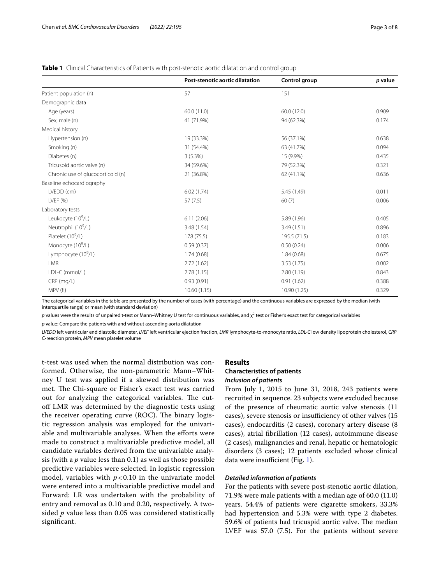#### <span id="page-2-0"></span>**Table 1** Clinical Characteristics of Patients with post-stenotic aortic dilatation and control group

|                                   | <b>Post-stenotic aortic dilatation</b> | Control group | p value |
|-----------------------------------|----------------------------------------|---------------|---------|
| Patient population (n)            | 57                                     | 151           |         |
| Demographic data                  |                                        |               |         |
| Age (years)                       | 60.0 (11.0)                            | 60.0 (12.0)   | 0.909   |
| Sex, male (n)                     | 41 (71.9%)                             | 94 (62.3%)    | 0.174   |
| Medical history                   |                                        |               |         |
| Hypertension (n)                  | 19 (33.3%)                             | 56 (37.1%)    | 0.638   |
| Smoking (n)                       | 31 (54.4%)                             | 63 (41.7%)    | 0.094   |
| Diabetes (n)                      | 3(5.3%)                                | 15 (9.9%)     | 0.435   |
| Tricuspid aortic valve (n)        | 34 (59.6%)                             | 79 (52.3%)    | 0.321   |
| Chronic use of glucocorticoid (n) | 21 (36.8%)                             | 62 (41.1%)    | 0.636   |
| Baseline echocardiography         |                                        |               |         |
| LVEDD (cm)                        | 6.02(1.74)                             | 5.45 (1.49)   | 0.011   |
| LVEF (%)                          | 57(7.5)                                | 60(7)         | 0.006   |
| Laboratory tests                  |                                        |               |         |
| Leukocyte (10 <sup>9</sup> /L)    | 6.11(2.06)                             | 5.89 (1.96)   | 0.405   |
| Neutrophil (10 <sup>9</sup> /L)   | 3.48 (1.54)                            | 3.49(1.51)    | 0.896   |
| Platelet (10 <sup>9</sup> /L)     | 178 (75.5)                             | 195.5 (71.5)  | 0.183   |
| Monocyte (10 <sup>9</sup> /L)     | 0.59(0.37)                             | 0.50(0.24)    | 0.006   |
| Lymphocyte (10 <sup>9</sup> /L)   | 1.74(0.68)                             | 1.84(0.68)    | 0.675   |
| <b>LMR</b>                        | 2.72(1.62)                             | 3.53 (1.75)   | 0.002   |
| LDL-C (mmol/L)                    | 2.78(1.15)                             | 2.80(1.19)    | 0.843   |
| $CRP$ (mg/L)                      | 0.93(0.91)                             | 0.91(1.62)    | 0.388   |
| MPV (fl)                          | 10.60(1.15)                            | 10.90 (1.25)  | 0.329   |

The categorical variables in the table are presented by the number of cases (with percentage) and the continuous variables are expressed by the median (with interquartile range) or mean (with standard deviation)

p values were the results of unpaired t-test or Mann–Whitney U test for continuous variables, and  $\chi^2$  test or Fisher's exact test for categorical variables *p* value: Compare the patients with and without ascending aorta dilatation

*LVEDD* left ventricular end diastolic diameter, *LVEF* left ventricular ejection fraction, *LMR* lymphocyte-to-monocyte ratio, *LDL-C* low density lipoprotein cholesterol, *CRP* C-reaction protein, *MPV* mean platelet volume

t-test was used when the normal distribution was conformed. Otherwise, the non-parametric Mann–Whitney U test was applied if a skewed distribution was met. The Chi-square or Fisher's exact test was carried out for analyzing the categorical variables. The cutof LMR was determined by the diagnostic tests using the receiver operating curve  $(ROC)$ . The binary logistic regression analysis was employed for the univariable and multivariable analyses. When the eforts were made to construct a multivariable predictive model, all candidate variables derived from the univariable analysis (with a *p* value less than 0.1) as well as those possible predictive variables were selected. In logistic regression model, variables with  $p < 0.10$  in the univariate model were entered into a multivariable predictive model and Forward: LR was undertaken with the probability of entry and removal as 0.10 and 0.20, respectively. A twosided *p* value less than 0.05 was considered statistically signifcant.

#### **Results**

#### **Characteristics of patients** *Inclusion of patients*

From July 1, 2015 to June 31, 2018, 243 patients were recruited in sequence. 23 subjects were excluded because of the presence of rheumatic aortic valve stenosis (11 cases), severe stenosis or insufficiency of other valves (15 cases), endocarditis (2 cases), coronary artery disease (8 cases), atrial fbrillation (12 cases), autoimmune disease (2 cases), malignancies and renal, hepatic or hematologic disorders (3 cases); 12 patients excluded whose clinical data were insufficient (Fig.  $1$ ).

#### *Detailed information of patients*

For the patients with severe post-stenotic aortic dilation, 71.9% were male patients with a median age of 60.0 (11.0) years. 54.4% of patients were cigarette smokers, 33.3% had hypertension and 5.3% were with type 2 diabetes. 59.6% of patients had tricuspid aortic valve. The median LVEF was 57.0 (7.5). For the patients without severe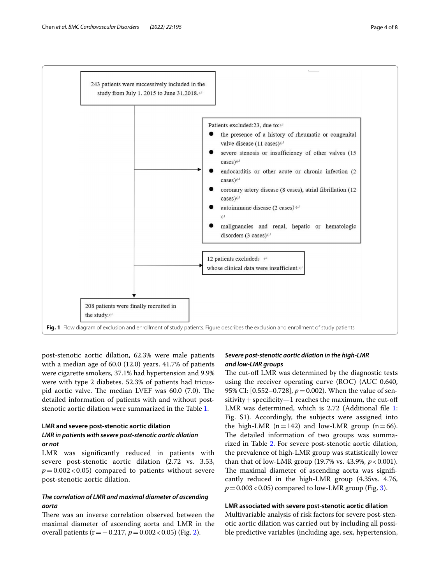

<span id="page-3-0"></span>post-stenotic aortic dilation, 62.3% were male patients with a median age of 60.0 (12.0) years. 41.7% of patients were cigarette smokers, 37.1% had hypertension and 9.9% were with type 2 diabetes. 52.3% of patients had tricuspid aortic valve. The median LVEF was  $60.0$   $(7.0)$ . The detailed information of patients with and without poststenotic aortic dilation were summarized in the Table [1.](#page-2-0)

### **LMR and severe post‑stenotic aortic dilation** *LMR in patients with severe post‑stenotic aortic dilation or not*

# LMR was signifcantly reduced in patients with severe post-stenotic aortic dilation (2.72 vs. 3.53,  $p = 0.002 < 0.05$  compared to patients without severe post-stenotic aortic dilation.

## *The correlation of LMR and maximal diameter of ascending aorta*

There was an inverse correlation observed between the maximal diameter of ascending aorta and LMR in the overall patients (r=−0.217, *p*=0.002<0.05) (Fig. [2](#page-4-0)).

### *Severe post‑stenotic aortic dilation in the high‑LMR and low‑LMR groups*

The cut-off LMR was determined by the diagnostic tests using the receiver operating curve (ROC) (AUC 0.640, 95% CI: [0.552–0.728],  $p = 0.002$ ). When the value of sen $sitivity + specificity-1$  reaches the maximum, the cut-off LMR was determined, which is 2.72 (Additional file [1](#page-6-0): Fig. S1). Accordingly, the subjects were assigned into the high-LMR ( $n=142$ ) and low-LMR group ( $n=66$ ). The detailed information of two groups was summarized in Table [2](#page-5-0). For severe post-stenotic aortic dilation, the prevalence of high-LMR group was statistically lower than that of low-LMR group (19.7% vs. 43.9%, *p*<0.001). The maximal diameter of ascending aorta was significantly reduced in the high-LMR group (4.35vs. 4.76,  $p = 0.003 < 0.05$  $p = 0.003 < 0.05$  $p = 0.003 < 0.05$ ) compared to low-LMR group (Fig. 3).

#### **LMR associated with severe post‑stenotic aortic dilation**

Multivariable analysis of risk factors for severe post-stenotic aortic dilation was carried out by including all possible predictive variables (including age, sex, hypertension,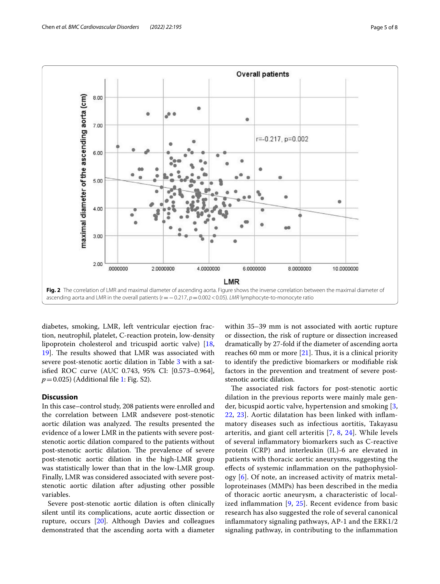

<span id="page-4-0"></span>diabetes, smoking, LMR, left ventricular ejection fraction, neutrophil, platelet, C-reaction protein, low-density lipoprotein cholesterol and tricuspid aortic valve) [\[18](#page-7-13), [19\]](#page-7-14). The results showed that LMR was associated with severe post-stenotic aortic dilation in Table [3](#page-6-1) with a satisfed ROC curve (AUC 0.743, 95% CI: [0.573–0.964], *p*=0.025) (Additional file [1](#page-6-0): Fig. S2).

#### **Discussion**

In this case–control study, 208 patients were enrolled and the correlation between LMR andsevere post-stenotic aortic dilation was analyzed. The results presented the evidence of a lower LMR in the patients with severe poststenotic aortic dilation compared to the patients without post-stenotic aortic dilation. The prevalence of severe post-stenotic aortic dilation in the high-LMR group was statistically lower than that in the low-LMR group. Finally, LMR was considered associated with severe poststenotic aortic dilation after adjusting other possible variables.

Severe post-stenotic aortic dilation is often clinically silent until its complications, acute aortic dissection or rupture, occurs [[20\]](#page-7-15). Although Davies and colleagues demonstrated that the ascending aorta with a diameter within 35–39 mm is not associated with aortic rupture or dissection, the risk of rupture or dissection increased dramatically by 27-fold if the diameter of ascending aorta reaches 60 mm or more  $[21]$  $[21]$ . Thus, it is a clinical priority to identify the predictive biomarkers or modifable risk factors in the prevention and treatment of severe poststenotic aortic dilation.

The associated risk factors for post-stenotic aortic dilation in the previous reports were mainly male gender, bicuspid aortic valve, hypertension and smoking [\[3](#page-7-2), [22,](#page-7-17) [23\]](#page-7-18). Aortic dilatation has been linked with infammatory diseases such as infectious aortitis, Takayasu arteritis, and giant cell arteritis [[7,](#page-7-19) [8](#page-7-20), [24](#page-7-21)]. While levels of several infammatory biomarkers such as C-reactive protein (CRP) and interleukin (IL)-6 are elevated in patients with thoracic aortic aneurysms, suggesting the efects of systemic infammation on the pathophysiology [[6](#page-7-5)]. Of note, an increased activity of matrix metalloproteinases (MMPs) has been described in the media of thoracic aortic aneurysm, a characteristic of localized inflammation  $[9, 25]$  $[9, 25]$  $[9, 25]$  $[9, 25]$ . Recent evidence from basic research has also suggested the role of several canonical infammatory signaling pathways, AP-1 and the ERK1/2 signaling pathway, in contributing to the infammation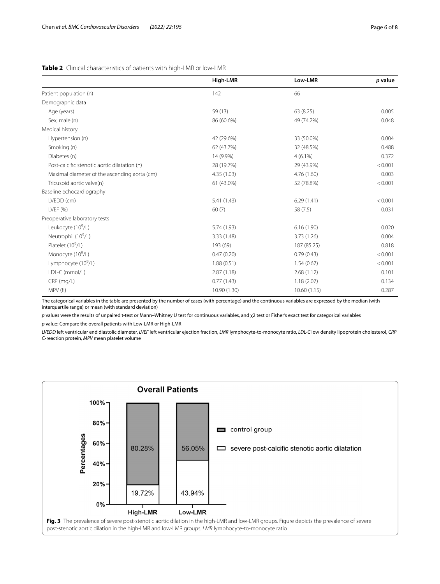<span id="page-5-0"></span>

|  | Table 2 Clinical characteristics of patients with high-LMR or low-LMR |
|--|-----------------------------------------------------------------------|
|--|-----------------------------------------------------------------------|

|                                              | High-LMR                 | Low-LMR      | p value |
|----------------------------------------------|--------------------------|--------------|---------|
| Patient population (n)                       | 142                      | 66           |         |
| Demographic data                             |                          |              |         |
| Age (years)                                  | 59 (13)                  | 63 (8.25)    | 0.005   |
| Sex, male (n)                                | 86 (60.6%)               | 49 (74.2%)   | 0.048   |
| Medical history                              |                          |              |         |
| Hypertension (n)                             | 42 (29.6%)               | 33 (50.0%)   | 0.004   |
| Smoking (n)                                  | 62 (43.7%)               | 32 (48.5%)   | 0.488   |
| Diabetes (n)                                 | 14 (9.9%)                | $4(6.1\%)$   | 0.372   |
| Post-calcific stenotic aortic dilatation (n) | 28 (19.7%)<br>29 (43.9%) |              | < 0.001 |
| Maximal diameter of the ascending aorta (cm) | 4.35 (1.03)              | 4.76(1.60)   | 0.003   |
| Tricuspid aortic valve(n)                    | 61 (43.0%)               | 52 (78.8%)   | < 0.001 |
| Baseline echocardiography                    |                          |              |         |
| LVEDD (cm)                                   | 5.41 (1.43)              | 6.29(1.41)   | < 0.001 |
| LVEF (%)                                     | 60(7)                    | 58 (7.5)     | 0.031   |
| Preoperative laboratory tests                |                          |              |         |
| Leukocyte (10 <sup>9</sup> /L)               | 5.74 (1.93)              | 6.16(1.90)   | 0.020   |
| Neutrophil (10 <sup>9</sup> /L)              | 3.33 (1.48)              | 3.73(1.26)   | 0.004   |
| Platelet (10 <sup>9</sup> /L)                | 193 (69)                 | 187 (85.25)  | 0.818   |
| Monocyte $(10^9/L)$                          | 0.47(0.20)               | 0.79(0.43)   | < 0.001 |
| Lymphocyte (10 <sup>9</sup> /L)              | 1.88(0.51)               | 1.54(0.67)   | < 0.001 |
| LDL-C (mmol/L)                               | 2.87(1.18)               | 2.68(1.12)   | 0.101   |
| $CRP$ (mg/L)                                 | 0.77(1.43)               | 1.18(2.07)   | 0.134   |
| MPV (fl)                                     | 10.90 (1.30)             | 10.60 (1.15) | 0.287   |

The categorical variables in the table are presented by the number of cases (with percentage) and the continuous variables are expressed by the median (with interquartile range) or mean (with standard deviation)

*p* values were the results of unpaired t-test or Mann–Whitney U test for continuous variables, and χ2 test or Fisher's exact test for categorical variables *p* value: Compare the overall patients with Low-LMR or High-LMR

*LVEDD* left ventricular end diastolic diameter, *LVEF* left ventricular ejection fraction, *LMR* lymphocyte-to-monocyte ratio, *LDL-C* low density lipoprotein cholesterol, *CRP* C-reaction protein, *MPV* mean platelet volume

<span id="page-5-1"></span>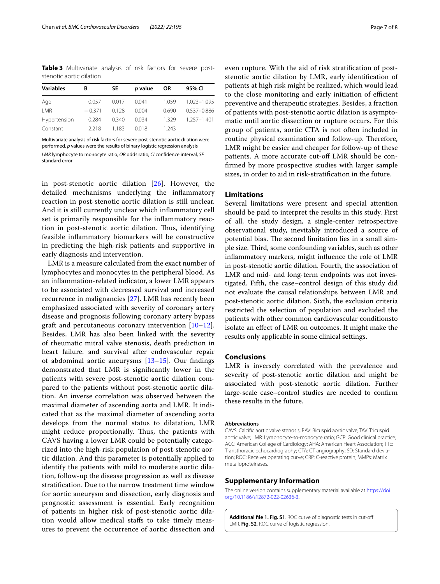<span id="page-6-1"></span>**Table 3** Multivariate analysis of risk factors for severe poststenotic aortic dilation

| <b>Variables</b> | В        | SE.   | p value | <b>OR</b> | 95% CI      |
|------------------|----------|-------|---------|-----------|-------------|
| Age              | 0.057    | 0.017 | 0.041   | 1.059     | 1.023-1.095 |
| LMR              | $-0.371$ | 0.128 | 0.004   | 0.690     | 0.537-0.886 |
| Hypertension     | 0.284    | 0.340 | 0.034   | 1.329     | 1.257-1.401 |
| Constant         | 2218     | 1.183 | 0.018   | 1.243     |             |
|                  |          |       |         |           |             |

Multivariate analysis of risk factors for severe post-stenotic aortic dilation were performed. *p* values were the results of binary logistic regression analysis *LMR* lymphocyte to monocyte ratio, *OR* odds ratio, *CI* confdence interval, *SE* standard error

in post-stenotic aortic dilation [[26](#page-7-23)]. However, the detailed mechanisms underlying the infammatory reaction in post-stenotic aortic dilation is still unclear. And it is still currently unclear which infammatory cell set is primarily responsible for the infammatory reaction in post-stenotic aortic dilation. Thus, identifying feasible infammatory biomarkers will be constructive in predicting the high-risk patients and supportive in early diagnosis and intervention.

LMR is a measure calculated from the exact number of lymphocytes and monocytes in the peripheral blood. As an infammation-related indicator, a lower LMR appears to be associated with decreased survival and increased recurrence in malignancies [[27\]](#page-7-24). LMR has recently been emphasized associated with severity of coronary artery disease and prognosis following coronary artery bypass graft and percutaneous coronary intervention [[10–](#page-7-7)[12](#page-7-8)]. Besides, LMR has also been linked with the severity of rheumatic mitral valve stenosis, death prediction in heart failure. and survival after endovascular repair of abdominal aortic aneurysms  $[13-15]$  $[13-15]$ . Our findings demonstrated that LMR is signifcantly lower in the patients with severe post-stenotic aortic dilation compared to the patients without post-stenotic aortic dilation. An inverse correlation was observed between the maximal diameter of ascending aorta and LMR. It indicated that as the maximal diameter of ascending aorta develops from the normal status to dilatation, LMR might reduce proportionally. Thus, the patients with CAVS having a lower LMR could be potentially categorized into the high-risk population of post-stenotic aortic dilation. And this parameter is potentially applied to identify the patients with mild to moderate aortic dilation, follow-up the disease progression as well as disease stratifcation. Due to the narrow treatment time window for aortic aneurysm and dissection, early diagnosis and prognostic assessment is essential. Early recognition of patients in higher risk of post-stenotic aortic dilation would allow medical stafs to take timely measures to prevent the occurrence of aortic dissection and

even rupture. With the aid of risk stratifcation of poststenotic aortic dilation by LMR, early identifcation of patients at high risk might be realized, which would lead to the close monitoring and early initiation of efficient preventive and therapeutic strategies. Besides, a fraction of patients with post-stenotic aortic dilation is asymptomatic until aortic dissection or rupture occurs. For this group of patients, aortic CTA is not often included in routine physical examination and follow-up. Therefore, LMR might be easier and cheaper for follow-up of these patients. A more accurate cut-of LMR should be confrmed by more prospective studies with larger sample sizes, in order to aid in risk-stratifcation in the future.

### **Limitations**

Several limitations were present and special attention should be paid to interpret the results in this study. First of all, the study design, a single-center retrospective observational study, inevitably introduced a source of potential bias. The second limitation lies in a small simple size. Third, some confounding variables, such as other infammatory markers, might infuence the role of LMR in post-stenotic aortic dilation. Fourth, the association of LMR and mid- and long-term endpoints was not investigated. Fifth, the case–control design of this study did not evaluate the causal relationships between LMR and post-stenotic aortic dilation. Sixth, the exclusion criteria restricted the selection of population and excluded the patients with other common cardiovascular conditionsto isolate an efect of LMR on outcomes. It might make the results only applicable in some clinical settings.

#### **Conclusions**

LMR is inversely correlated with the prevalence and severity of post-stenotic aortic dilation and might be associated with post-stenotic aortic dilation. Further large-scale case–control studies are needed to confrm these results in the future.

#### **Abbreviations**

CAVS: Calcifc aortic valve stenosis; BAV: Bicuspid aortic valve; TAV: Tricuspid aortic valve; LMR: Lymphocyte-to-monocyte ratio; GCP: Good clinical practice; ACC: American College of Cardiology; AHA: American Heart Association; TTE: Transthoracic echocardiography; CTA: CT angiography; SD: Standard deviation; ROC: Receiver operating curve; CRP: C-reactive protein; MMPs: Matrix metalloproteinases.

#### **Supplementary Information**

The online version contains supplementary material available at [https://doi.](https://doi.org/10.1186/s12872-022-02636-3) [org/10.1186/s12872-022-02636-3](https://doi.org/10.1186/s12872-022-02636-3).

<span id="page-6-0"></span>**Additional fle 1. Fig. S1**. ROC curve of diagnostic tests in cut-of LMR. **Fig. S2**. ROC curve of logistic regression.